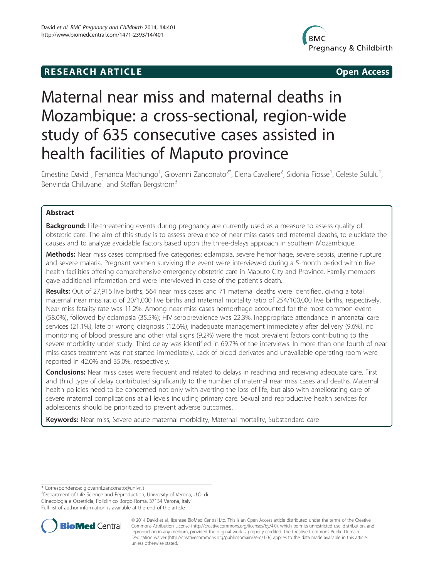## **RESEARCH ARTICLE Example 2014 12:25 Open Access**



# Maternal near miss and maternal deaths in Mozambique: a cross-sectional, region-wide study of 635 consecutive cases assisted in health facilities of Maputo province

Ernestina David<sup>1</sup>, Fernanda Machungo<sup>1</sup>, Giovanni Zanconato<sup>2\*</sup>, Elena Cavaliere<sup>2</sup>, Sidonia Fiosse<sup>1</sup>, Celeste Sululu<sup>1</sup> , Benvinda Chiluvane<sup>1</sup> and Staffan Bergström<sup>3</sup>

## Abstract

Background: Life-threatening events during pregnancy are currently used as a measure to assess quality of obstetric care. The aim of this study is to assess prevalence of near miss cases and maternal deaths, to elucidate the causes and to analyze avoidable factors based upon the three-delays approach in southern Mozambique.

Methods: Near miss cases comprised five categories: eclampsia, severe hemorrhage, severe sepsis, uterine rupture and severe malaria. Pregnant women surviving the event were interviewed during a 5-month period within five health facilities offering comprehensive emergency obstetric care in Maputo City and Province. Family members gave additional information and were interviewed in case of the patient's death.

Results: Out of 27,916 live births, 564 near miss cases and 71 maternal deaths were identified, giving a total maternal near miss ratio of 20/1,000 live births and maternal mortality ratio of 254/100,000 live births, respectively. Near miss fatality rate was 11.2%. Among near miss cases hemorrhage accounted for the most common event (58.0%), followed by eclampsia (35.5%); HIV seroprevalence was 22.3%. Inappropriate attendance in antenatal care services (21.1%), late or wrong diagnosis (12.6%), inadequate management immediately after delivery (9.6%), no monitoring of blood pressure and other vital signs (9.2%) were the most prevalent factors contributing to the severe morbidity under study. Third delay was identified in 69.7% of the interviews. In more than one fourth of near miss cases treatment was not started immediately. Lack of blood derivates and unavailable operating room were reported in 42.0% and 35.0%, respectively.

Conclusions: Near miss cases were frequent and related to delays in reaching and receiving adequate care. First and third type of delay contributed significantly to the number of maternal near miss cases and deaths. Maternal health policies need to be concerned not only with averting the loss of life, but also with ameliorating care of severe maternal complications at all levels including primary care. Sexual and reproductive health services for adolescents should be prioritized to prevent adverse outcomes.

Keywords: Near miss, Severe acute maternal morbidity, Maternal mortality, Substandard care

\* Correspondence: [giovanni.zanconato@univr.it](mailto:giovanni.zanconato@univr.it) <sup>2</sup>

<sup>2</sup>Department of Life Science and Reproduction, University of Verona, U.O. di Ginecologia e Ostetricia, Policlinico Borgo Roma, 37134 Verona, Italy Full list of author information is available at the end of the article



© 2014 David et al.; licensee BioMed Central Ltd. This is an Open Access article distributed under the terms of the Creative Commons Attribution License [\(http://creativecommons.org/licenses/by/4.0\)](http://creativecommons.org/licenses/by/4.0), which permits unrestricted use, distribution, and reproduction in any medium, provided the original work is properly credited. The Creative Commons Public Domain Dedication waiver [\(http://creativecommons.org/publicdomain/zero/1.0/](http://creativecommons.org/publicdomain/zero/1.0/)) applies to the data made available in this article, unless otherwise stated.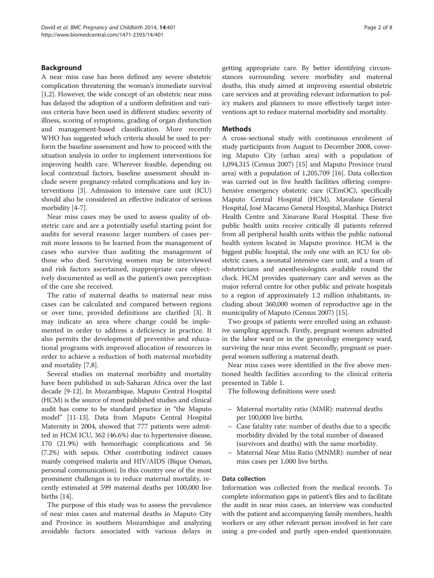## Background

A near miss case has been defined any severe obstetric complication threatening the woman's immediate survival [[1,2](#page-6-0)]. However, the wide concept of an obstetric near miss has delayed the adoption of a uniform definition and various criteria have been used in different studies: severity of illness, scoring of symptoms, grading of organ dysfunction and management-based classification. More recently WHO has suggested which criteria should be used to perform the baseline assessment and how to proceed with the situation analysis in order to implement interventions for improving health care. Wherever feasible, depending on local contextual factors, baseline assessment should include severe pregnancy-related complications and key interventions [\[3](#page-6-0)]. Admission to intensive care unit (ICU) should also be considered an effective indicator of serious morbidity [\[4](#page-6-0)-[7\]](#page-6-0).

Near miss cases may be used to assess quality of obstetric care and are a potentially useful starting point for audits for several reasons: larger numbers of cases permit more lessons to be learned from the management of cases who survive than auditing the management of those who died. Surviving women may be interviewed and risk factors ascertained, inappropriate care objectively documented as well as the patient's own perception of the care she received.

The ratio of maternal deaths to maternal near miss cases can be calculated and compared between regions or over time, provided definitions are clarified [\[3](#page-6-0)]. It may indicate an area where change could be implemented in order to address a deficiency in practice. It also permits the development of preventive and educational programs with improved allocation of resources in order to achieve a reduction of both maternal morbidity and mortality [[7,8\]](#page-6-0).

Several studies on maternal morbidity and mortality have been published in sub-Saharan Africa over the last decade [\[9-12\]](#page-6-0). In Mozambique, Maputo Central Hospital (HCM) is the source of most published studies and clinical audit has come to be standard practice in "the Maputo model" [\[11](#page-6-0)[-13\]](#page-7-0). Data from Maputo Central Hospital Maternity in 2004, showed that 777 patients were admitted in HCM ICU, 362 (46.6%) due to hypertensive disease, 170 (21.9%) with hemorrhagic complications and 56 (7.2%) with sepsis. Other contributing indirect causes mainly comprised malaria and HIV/AIDS (Bique Osman, personal communication). In this country one of the most prominent challenges is to reduce maternal mortality, recently estimated at 599 maternal deaths per 100,000 live births [\[14](#page-7-0)].

The purpose of this study was to assess the prevalence of near miss cases and maternal deaths in Maputo City and Province in southern Mozambique and analyzing avoidable factors associated with various delays in

getting appropriate care. By better identifying circumstances surrounding severe morbidity and maternal deaths, this study aimed at improving essential obstetric care services and at providing relevant information to policy makers and planners to more effectively target interventions apt to reduce maternal morbidity and mortality.

## **Methods**

A cross-sectional study with continuous enrolment of study participants from August to December 2008, covering Maputo City (urban area) with a population of 1,094,315 (Census 2007) [\[15](#page-7-0)] and Maputo Province (rural area) with a population of 1,205,709 [\[16\]](#page-7-0). Data collection was carried out in five health facilities offering comprehensive emergency obstetric care (CEmOC), specifically Maputo Central Hospital (HCM), Mavalane General Hospital, José Macamo General Hospital, Manhiça District Health Centre and Xinavane Rural Hospital. These five public health units receive critically ill patients referred from all peripheral health units within the public national health system located in Maputo province. HCM is the biggest public hospital, the only one with an ICU for obstetric cases, a neonatal intensive care unit, and a team of obstetricians and anesthesiologists available round the clock. HCM provides quaternary care and serves as the major referral centre for other public and private hospitals to a region of approximately 1.2 million inhabitants, including about 360,000 women of reproductive age in the municipality of Maputo (Census 2007) [\[15\]](#page-7-0).

Two groups of patients were enrolled using an exhaustive sampling approach. Firstly, pregnant women admitted in the labor ward or in the gynecology emergency ward, surviving the near miss event. Secondly, pregnant or puerperal women suffering a maternal death.

Near miss cases were identified in the five above mentioned health facilities according to the clinical criteria presented in Table [1](#page-2-0).

The following definitions were used:

- Maternal mortality ratio (MMR): maternal deaths per 100,000 live births.
- Case fatality rate: number of deaths due to a specific morbidity divided by the total number of diseased (survivors and deaths) with the same morbidity.
- Maternal Near Miss Ratio (MNMR): number of near miss cases per 1,000 live births.

## Data collection

Information was collected from the medical records. To complete information gaps in patient's files and to facilitate the audit in near miss cases, an interview was conducted with the patient and accompanying family members, health workers or any other relevant person involved in her care using a pre-coded and partly open-ended questionnaire.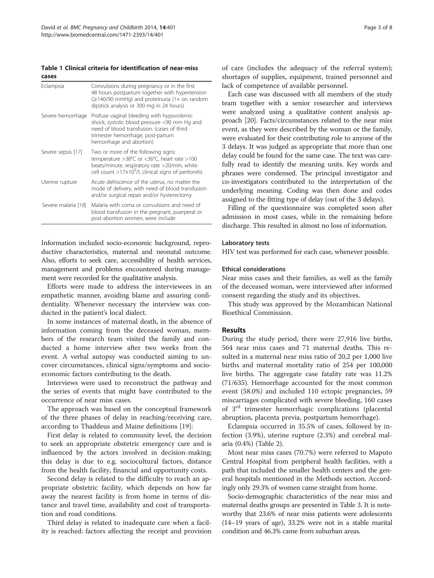<span id="page-2-0"></span>Table 1 Clinical criteria for identification of near-miss cases

| Eclampsia           | Convulsions during pregnancy or in the first<br>48 hours postpartum together with hypertension<br>$(\geq$ 140/90 mmHg) and proteinuria (1+ on random<br>dipstick analysis or 300 mg in 24 hours)                    |
|---------------------|---------------------------------------------------------------------------------------------------------------------------------------------------------------------------------------------------------------------|
| Severe hemorrhage   | Profuse vaginal bleeding with hypovolemic<br>shock, systolic blood pressure <90 mm Hq and<br>need of blood transfusion. (cases of third<br>trimester hemorrhage, post-partum<br>hemorrhage and abortion)            |
| Severe sepsis [17]  | Two or more of the following signs:<br>temperature > 38°C or < 36°C, heart rate > 100<br>beats/minute, respiratory rate >20/min, white<br>cell count >17 $\times$ 10 <sup>9</sup> /l, clinical signs of peritonitis |
| Uterine rupture     | Acute dehiscence of the uterus, no matter the<br>mode of delivery, with need of blood transfusion<br>and/or surgical repair and/or hysterectomy                                                                     |
| Severe malaria [18] | Malaria with coma or convulsions and need of<br>blood transfusion in the pregnant, puerperal or<br>post-abortion women, were include                                                                                |

Information included socio-economic background, reproductive characteristics, maternal and neonatal outcome. Also, efforts to seek care, accessibility of health services, management and problems encountered during management were recorded for the qualitative analysis.

Efforts were made to address the interviewees in an empathetic manner, avoiding blame and assuring confidentiality. Whenever necessary the interview was conducted in the patient's local dialect.

In some instances of maternal death, in the absence of information coming from the deceased woman, members of the research team visited the family and conducted a home interview after two weeks from the event. A verbal autopsy was conducted aiming to uncover circumstances, clinical signs/symptoms and socioeconomic factors contributing to the death.

Interviews were used to reconstruct the pathway and the series of events that might have contributed to the occurrence of near miss cases.

The approach was based on the conceptual framework of the three phases of delay in reaching/receiving care, according to Thaddeus and Maine definitions [[19\]](#page-7-0):

First delay is related to community level, the decision to seek an appropriate obstetric emergency care and is influenced by the actors involved in decision-making; this delay is due to e.g. sociocultural factors, distance from the health facility, financial and opportunity costs.

Second delay is related to the difficulty to reach an appropriate obstetric facility, which depends on how far away the nearest facility is from home in terms of distance and travel time, availability and cost of transportation and road conditions.

Third delay is related to inadequate care when a facility is reached: factors affecting the receipt and provision of care (includes the adequacy of the referral system); shortages of supplies, equipment, trained personnel and lack of competence of available personnel.

Each case was discussed with all members of the study team together with a senior researcher and interviews were analyzed using a qualitative content analysis approach [[20](#page-7-0)]. Facts/circumstances related to the near miss event, as they were described by the woman or the family, were evaluated for their contributing role to anyone of the 3 delays. It was judged as appropriate that more than one delay could be found for the same case. The text was carefully read to identify the meaning units. Key words and phrases were condensed. The principal investigator and co-investigators contributed to the interpretation of the underlying meaning. Coding was then done and codes assigned to the fitting type of delay (out of the 3 delays).

Filling of the questionnaire was completed soon after admission in most cases, while in the remaining before discharge. This resulted in almost no loss of information.

## Laboratory tests

HIV test was performed for each case, whenever possible.

## Ethical considerations

Near miss cases and their families, as well as the family of the deceased woman, were interviewed after informed consent regarding the study and its objectives.

This study was approved by the Mozambican National Bioethical Commission.

## Results

During the study period, there were 27,916 live births, 564 near miss cases and 71 maternal deaths. This resulted in a maternal near miss ratio of 20,2 per 1,000 live births and maternal mortality ratio of 254 per 100,000 live births. The aggregate case fatality rate was 11.2% (71/635). Hemorrhage accounted for the most common event (58.0%) and included 110 ectopic pregnancies, 59 miscarriages complicated with severe bleeding, 160 cases of 3<sup>rd</sup> trimester hemorrhagic complications (placental abruption, placenta previa, postpartum hemorrhage).

Eclampsia occurred in 35.5% of cases, followed by infection (3.9%), uterine rupture (2.3%) and cerebral malaria (0.4%) (Table [2](#page-3-0)).

Most near miss cases (70.7%) were referred to Maputo Central Hospital from peripheral health facilities, with a path that included the smaller health centers and the general hospitals mentioned in the Methods section. Accordingly only 29.3% of women came straight from home.

Socio-demographic characteristics of the near miss and maternal deaths groups are presented in Table [3](#page-4-0). It is noteworthy that 23.6% of near miss patients were adolescents (14–19 years of age), 33.2% were not in a stable marital condition and 46.3% came from suburban areas.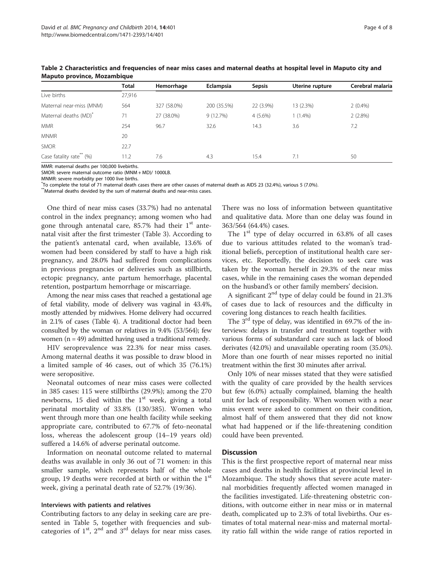|                                   | <b>Total</b> | Hemorrhage  | Eclampsia   | <b>Sepsis</b> | Uterine rupture | Cerebral malaria |
|-----------------------------------|--------------|-------------|-------------|---------------|-----------------|------------------|
| Live births                       | 27,916       |             |             |               |                 |                  |
| Maternal near-miss (MNM)          | 564          | 327 (58.0%) | 200 (35.5%) | 22 (3.9%)     | 13 (2.3%)       | $2(0.4\%)$       |
| Maternal deaths (MD) <sup>*</sup> | 71           | 27 (38.0%)  | 9(12.7%)    | $4(5.6\%)$    | $1(1.4\%)$      | 2(2.8%)          |
| <b>MMR</b>                        | 254          | 96.7        | 32.6        | 14.3          | 3.6             | 7.2              |
| MNMR                              | 20           |             |             |               |                 |                  |
| <b>SMOR</b>                       | 22.7         |             |             |               |                 |                  |
| Case fatality rate" (%)           | 11.2         | 7.6         | 4.3         | 15.4          | 7.1             | 50               |

<span id="page-3-0"></span>Table 2 Characteristics and frequencies of near miss cases and maternal deaths at hospital level in Maputo city and Maputo province, Mozambique

MMR: maternal deaths per 100,000 livebirths. SMOR: severe maternal outcome ratio (MNM + MD)/ 1000LB.

MNMR: severe morbidity per 1000 live births.

\* To complete the total of 71 maternal death cases there are other causes of maternal death as AIDS 23 (32.4%), various 5 (7.0%).

\*\*Maternal deaths devided by the sum of maternal deaths and near-miss cases.

One third of near miss cases (33.7%) had no antenatal control in the index pregnancy; among women who had gone through antenatal care,  $85.7\%$  had their  $1<sup>st</sup>$  antenatal visit after the first trimester (Table [3\)](#page-4-0). According to the patient's antenatal card, when available, 13.6% of women had been considered by staff to have a high risk pregnancy, and 28.0% had suffered from complications in previous pregnancies or deliveries such as stillbirth, ectopic pregnancy, ante partum hemorrhage, placental retention, postpartum hemorrhage or miscarriage.

Among the near miss cases that reached a gestational age of fetal viability, mode of delivery was vaginal in 43.4%, mostly attended by midwives. Home delivery had occurred in 2.1% of cases (Table [4](#page-4-0)). A traditional doctor had been consulted by the woman or relatives in 9.4% (53/564); few women (n = 49) admitted having used a traditional remedy.

HIV seroprevalence was 22.3% for near miss cases. Among maternal deaths it was possible to draw blood in a limited sample of 46 cases, out of which 35 (76.1%) were seropositive.

Neonatal outcomes of near miss cases were collected in 385 cases: 115 were stillbirths (29.9%); among the 270 newborns, 15 died within the  $1<sup>st</sup>$  week, giving a total perinatal mortality of 33.8% (130/385). Women who went through more than one health facility while seeking appropriate care, contributed to 67.7% of feto-neonatal loss, whereas the adolescent group (14–19 years old) suffered a 14.6% of adverse perinatal outcome.

Information on neonatal outcome related to maternal deaths was available in only 36 out of 71 women: in this smaller sample, which represents half of the whole group, 19 deaths were recorded at birth or within the  $1<sup>st</sup>$ week, giving a perinatal death rate of 52.7% (19/36).

## Interviews with patients and relatives

Contributing factors to any delay in seeking care are presented in Table [5,](#page-5-0) together with frequencies and subcategories of 1<sup>st</sup>, 2<sup>nd</sup> and 3<sup>rd</sup> delays for near miss cases. There was no loss of information between quantitative and qualitative data. More than one delay was found in 363/564 (64.4%) cases.

The  $1<sup>st</sup>$  type of delay occurred in 63.8% of all cases due to various attitudes related to the woman's traditional beliefs, perception of institutional health care services, etc. Reportedly, the decision to seek care was taken by the woman herself in 29.3% of the near miss cases, while in the remaining cases the woman depended on the husband's or other family members' decision.

A significant  $2<sup>nd</sup>$  type of delay could be found in 21.3% of cases due to lack of resources and the difficulty in covering long distances to reach health facilities.

The  $3<sup>rd</sup>$  type of delay, was identified in 69.7% of the interviews: delays in transfer and treatment together with various forms of substandard care such as lack of blood derivates (42.0%) and unavailable operating room (35.0%). More than one fourth of near misses reported no initial treatment within the first 30 minutes after arrival.

Only 10% of near misses stated that they were satisfied with the quality of care provided by the health services but few (6.0%) actually complained, blaming the health unit for lack of responsibility. When women with a near miss event were asked to comment on their condition, almost half of them answered that they did not know what had happened or if the life-threatening condition could have been prevented.

## **Discussion**

This is the first prospective report of maternal near miss cases and deaths in health facilities at provincial level in Mozambique. The study shows that severe acute maternal morbidities frequently affected women managed in the facilities investigated. Life-threatening obstetric conditions, with outcome either in near miss or in maternal death, complicated up to 2.3% of total livebirths. Our estimates of total maternal near-miss and maternal mortality ratio fall within the wide range of ratios reported in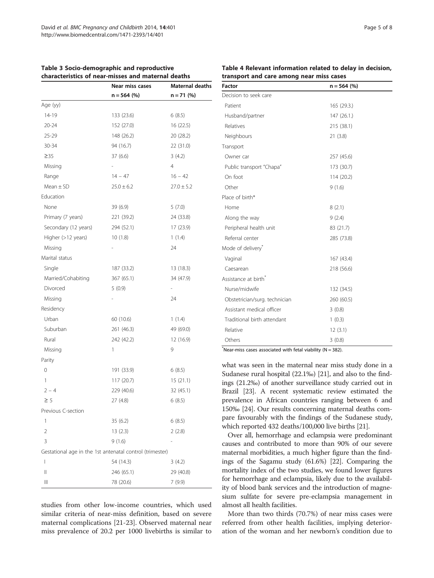|                                                          | Near miss cases | <b>Maternal deaths</b>   |
|----------------------------------------------------------|-----------------|--------------------------|
|                                                          | $n = 564$ (%)   | $n = 71$ (%)             |
| Age (yy)                                                 |                 |                          |
| 14-19                                                    | 133 (23.6)      | 6(8.5)                   |
| $20 - 24$                                                | 152 (27.0)      | 16 (22.5)                |
| 25-29                                                    | 148 (26.2)      | 20 (28.2)                |
| 30-34                                                    | 94 (16.7)       | 22 (31.0)                |
| $\geq$ 35                                                | 37(6.6)         | 3(4.2)                   |
| Missing                                                  |                 | 4                        |
| Range                                                    | $14 - 47$       | $16 - 42$                |
| Mean $\pm$ SD                                            | $25.0 \pm 6.2$  | $27.0 \pm 5.2$           |
| Education                                                |                 |                          |
| None                                                     | 39 (6.9)        | 5(7.0)                   |
| Primary (7 years)                                        | 221 (39.2)      | 24 (33.8)                |
| Secondary (12 years)                                     | 294 (52.1)      | 17 (23.9)                |
| Higher (>12 years)                                       | 10(1.8)         | 1(1.4)                   |
| Missing                                                  |                 | 24                       |
| Marital status                                           |                 |                          |
| Single                                                   | 187 (33.2)      | 13 (18.3)                |
| Married/Cohabiting                                       | 367 (65.1)      | 34 (47.9)                |
| Divorced                                                 | 5(0.9)          | $\overline{\phantom{0}}$ |
| Missing                                                  |                 | 24                       |
| Residency                                                |                 |                          |
| Urban                                                    | 60 (10.6)       | 1(1.4)                   |
| Suburban                                                 | 261 (46.3)      | 49 (69.0)                |
| Rural                                                    | 242 (42.2)      | 12 (16.9)                |
| Missing                                                  | 1               | 9                        |
| Parity                                                   |                 |                          |
| 0                                                        | 191 (33.9)      | 6(8.5)                   |
| 1                                                        | 117 (20.7)      | 15(21.1)                 |
| $2 - 4$                                                  | 229 (40.6)      | 32 (45.1)                |
| $\geq 5$                                                 | 27 (4.8)        | 6(8.5)                   |
| Previous C-section                                       |                 |                          |
| 1                                                        | 35(6.2)         | 6(8.5)                   |
| $\overline{2}$                                           | 13(2.3)         | 2(2.8)                   |
| 3                                                        | 9(1.6)          |                          |
| Gestational age in the 1st antenatal control (trimester) |                 |                          |
| I                                                        | 54 (14.3)       | 3(4.2)                   |
| II                                                       | 246 (65.1)      | 29 (40.8)                |
| Ш                                                        | 78 (20.6)       | 7(9.9)                   |

<span id="page-4-0"></span>Table 3 Socio-demographic and reproductive characteristics of near-misses and maternal deaths

studies from other low-income countries, which used similar criteria of near-miss definition, based on severe maternal complications [\[21](#page-7-0)-[23](#page-7-0)]. Observed maternal near miss prevalence of 20.2 per 1000 livebirths is similar to

| Table 4 Relevant information related to delay in decision, |  |  |
|------------------------------------------------------------|--|--|
| transport and care among near miss cases                   |  |  |

| <b>Factor</b>                    | $n = 564$ (%) |
|----------------------------------|---------------|
| Decision to seek care            |               |
| Patient                          | 165 (29.3.)   |
| Husband/partner                  | 147(26.1)     |
| Relatives                        | 215 (38.1)    |
| Neighbours                       | 21(3.8)       |
| Transport                        |               |
| Owner car                        | 257 (45.6)    |
| Public transport "Chapa"         | 173 (30.7)    |
| On foot                          | 114 (20.2)    |
| Other                            | 9(1.6)        |
| Place of birth*                  |               |
| Home                             | 8(2.1)        |
| Along the way                    | 9(2.4)        |
| Peripheral health unit           | 83 (21.7)     |
| Referral center                  | 285 (73.8)    |
| Mode of delivery <sup>*</sup>    |               |
| Vaginal                          | 167 (43.4)    |
| Caesarean                        | 218 (56.6)    |
| Assistance at birth <sup>®</sup> |               |
| Nurse/midwife                    | 132 (34.5)    |
| Obstetrician/surg. technician    | 260 (60.5)    |
| Assistant medical officer        | 3(0.8)        |
| Traditional birth attendant      | 1(0.3)        |
| Relative                         | 12(3.1)       |
| Others                           | 3(0.8)        |

 $*$ Near-miss cases associated with fetal viability (N = 382).

what was seen in the maternal near miss study done in a Sudanese rural hospital (22.1‰) [\[21\]](#page-7-0), and also to the findings (21.2‰) of another surveillance study carried out in Brazil [[23](#page-7-0)]. A recent systematic review estimated the prevalence in African countries ranging between 6 and 150‰ [\[24\]](#page-7-0). Our results concerning maternal deaths compare favourably with the findings of the Sudanese study, which reported 432 deaths/100,000 live births [[21](#page-7-0)].

Over all, hemorrhage and eclampsia were predominant causes and contributed to more than 90% of our severe maternal morbidities, a much higher figure than the findings of the Sagamu study (61.6%) [\[22\]](#page-7-0). Comparing the mortality index of the two studies, we found lower figures for hemorrhage and eclampsia, likely due to the availability of blood bank services and the introduction of magnesium sulfate for severe pre-eclampsia management in almost all health facilities.

More than two thirds (70.7%) of near miss cases were referred from other health facilities, implying deterioration of the woman and her newborn's condition due to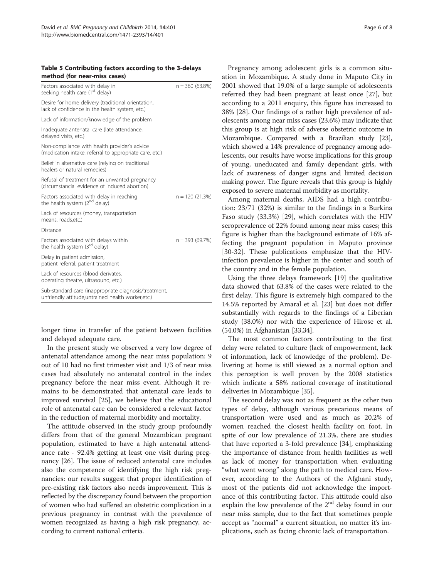## <span id="page-5-0"></span>Table 5 Contributing factors according to the 3-delays method (for near-miss cases)

| Factors associated with delay in<br>seeking health care (1 <sup>st</sup> delay)                              | $n = 360(63.8\%)$ |
|--------------------------------------------------------------------------------------------------------------|-------------------|
| Desire for home delivery (traditional orientation,<br>lack of confidence in the health system, etc.)         |                   |
| Lack of information/knowledge of the problem                                                                 |                   |
| Inadequate antenatal care (late attendance,<br>delayed visits, etc.)                                         |                   |
| Non-compliance with health provider's advice<br>(medication intake, referral to appropriate care, etc.)      |                   |
| Belief in alternative care (relying on traditional<br>healers or natural remedies)                           |                   |
| Refusal of treatment for an unwanted pregnancy<br>(circumstancial evidence of induced abortion)              |                   |
| Factors associated with delay in reaching<br>the health system (2 <sup>nd</sup> delay)                       | $n = 120(21.3%)$  |
| Lack of resources (money, transportation<br>means, roads, etc.)                                              |                   |
| Distance                                                                                                     |                   |
| Factors associated with delays within<br>the health system (3rd delay)                                       | $n = 393(69.7%)$  |
| Delay in patient admission,<br>patient referral, patient treatment                                           |                   |
| Lack of resources (blood derivates,<br>operating theatre, ultrasound, etc.)                                  |                   |
| Sub-standard care (inappropriate diagnosis/treatment,<br>unfriendly attitude, untrained health worker, etc.) |                   |

longer time in transfer of the patient between facilities and delayed adequate care.

In the present study we observed a very low degree of antenatal attendance among the near miss population: 9 out of 10 had no first trimester visit and 1/3 of near miss cases had absolutely no antenatal control in the index pregnancy before the near miss event. Although it remains to be demonstrated that antenatal care leads to improved survival [[25\]](#page-7-0), we believe that the educational role of antenatal care can be considered a relevant factor in the reduction of maternal morbidity and mortality.

The attitude observed in the study group profoundly differs from that of the general Mozambican pregnant population, estimated to have a high antenatal attendance rate - 92.4% getting at least one visit during pregnancy [\[26](#page-7-0)]. The issue of reduced antenatal care includes also the competence of identifying the high risk pregnancies: our results suggest that proper identification of pre-existing risk factors also needs improvement. This is reflected by the discrepancy found between the proportion of women who had suffered an obstetric complication in a previous pregnancy in contrast with the prevalence of women recognized as having a high risk pregnancy, according to current national criteria.

Pregnancy among adolescent girls is a common situation in Mozambique. A study done in Maputo City in 2001 showed that 19.0% of a large sample of adolescents referred they had been pregnant at least once [[27\]](#page-7-0), but according to a 2011 enquiry, this figure has increased to 38% [[28](#page-7-0)]. Our findings of a rather high prevalence of adolescents among near miss cases (23.6%) may indicate that this group is at high risk of adverse obstetric outcome in Mozambique. Compared with a Brazilian study [[23](#page-7-0)], which showed a 14% prevalence of pregnancy among adolescents, our results have worse implications for this group of young, uneducated and family dependant girls, with lack of awareness of danger signs and limited decision making power. The figure reveals that this group is highly exposed to severe maternal morbidity as mortality.

Among maternal deaths, AIDS had a high contribution: 23/71 (32%) is similar to the findings in a Burkina Faso study (33.3%) [[29](#page-7-0)], which correlates with the HIV seroprevalence of 22% found among near miss cases; this figure is higher than the background estimate of 16% affecting the pregnant population in Maputo province [[30-32](#page-7-0)]. These publications emphasize that the HIVinfection prevalence is higher in the center and south of the country and in the female population.

Using the three delays framework [\[19](#page-7-0)] the qualitative data showed that 63.8% of the cases were related to the first delay. This figure is extremely high compared to the 14.5% reported by Amaral et al. [\[23\]](#page-7-0) but does not differ substantially with regards to the findings of a Liberian study (38.0%) nor with the experience of Hirose et al. (54.0%) in Afghanistan [[33,34\]](#page-7-0).

The most common factors contributing to the first delay were related to culture (lack of empowerment, lack of information, lack of knowledge of the problem). Delivering at home is still viewed as a normal option and this perception is well proven by the 2008 statistics which indicate a 58% national coverage of institutional deliveries in Mozambique [[35](#page-7-0)].

The second delay was not as frequent as the other two types of delay, although various precarious means of transportation were used and as much as 20.2% of women reached the closest health facility on foot. In spite of our low prevalence of 21.3%, there are studies that have reported a 3-fold prevalence [\[34](#page-7-0)], emphasizing the importance of distance from health facilities as well as lack of money for transportation when evaluating "what went wrong" along the path to medical care. However, according to the Authors of the Afghani study, most of the patients did not acknowledge the importance of this contributing factor. This attitude could also explain the low prevalence of the  $2<sup>nd</sup>$  delay found in our near miss sample, due to the fact that sometimes people accept as "normal" a current situation, no matter it's implications, such as facing chronic lack of transportation.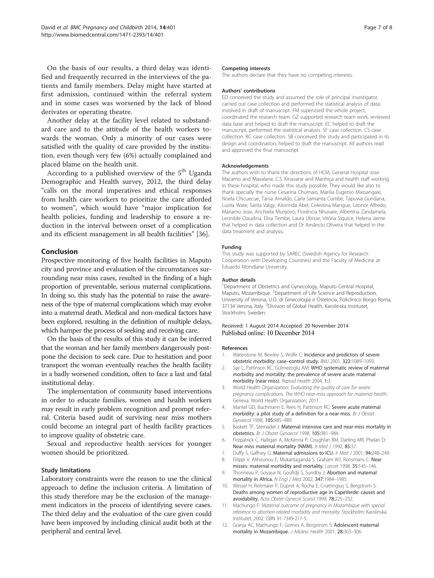<span id="page-6-0"></span>On the basis of our results, a third delay was identified and frequently recurred in the interviews of the patients and family members. Delay might have started at first admission, continued within the referral system and in some cases was worsened by the lack of blood derivates or operating theatre.

Another delay at the facility level related to substandard care and to the attitude of the health workers towards the woman. Only a minority of our cases were satisfied with the quality of care provided by the institution, even though very few (6%) actually complained and placed blame on the health unit.

According to a published overview of the 5<sup>th</sup> Uganda Demographic and Health survey, 2012, the third delay "calls on the moral imperatives and ethical responses from health care workers to prioritize the care afforded to women", which would have "major implication for health policies, funding and leadership to ensure a reduction in the interval between onset of a complication and its efficient management in all health facilities" [[36\]](#page-7-0).

## Conclusion

Prospective monitoring of five health facilities in Maputo city and province and evaluation of the circumstances surrounding near miss cases, resulted in the finding of a high proportion of preventable, serious maternal complications. In doing so, this study has the potential to raise the awareness of the type of maternal complications which may evolve into a maternal death. Medical and non-medical factors have been explored, resulting in the definition of multiple delays, which hamper the process of seeking and receiving care.

On the basis of the results of this study it can be inferred that the woman and her family members dangerously postpone the decision to seek care. Due to hesitation and poor transport the woman eventually reaches the health facility in a badly worsened condition, often to face a last and fatal institutional delay.

The implementation of community based interventions in order to educate families, women and health workers may result in early problem recognition and prompt referral. Criteria based audit of surviving near miss mothers could become an integral part of health facility practices to improve quality of obstetric care.

Sexual and reproductive health services for younger women should be prioritized.

## Study limitations

Laboratory constraints were the reason to use the clinical approach to define the inclusion criteria. A limitation of this study therefore may be the exclusion of the management indicators in the process of identifying severe cases. The third delay and the evaluation of the care given could have been improved by including clinical audit both at the peripheral and central level.

### Competing interests

The authors declare that they have no competing interests.

### Authors' contributions

ED conceived the study and assumed the role of principal investigator, carried out case collection and performed the statistical analysis of data; involved in draft of manuscript. FM supervised the whole project, coordinated the research team. GZ supported research team work, reviewed data base and helped to draft the manuscript. EC helped to draft the manuscript, performed the statistical analysis. SF case collection. CS case collection. BC case collection. SB conceived the study and participated in its design and coordination, helped to draft the manuscript. All authors read and approved the final manuscript.

#### Acknowledgements

The authors wish to thank the directions of HCM, General Hospital Jose Macamo and Mavalane, C.S Xinavane and Manhiça and health staff working in these hospital, who made this study possible; They would like also to thank specially the nurse Cesarina Chumaio, Marilia Eugenio Massangaie, Noela Chicuecue, Tania Arnaldo, Carla Samanta Cumbe, Tapuwa Gundana, Lusita Wate, Sarita Valgy, Aliorinda Abel, Celestina Mangue, Leonor Alfredo, Mariamo Jose, Anchieta Munjovo, Florência Nhuvare, Albertina Zandamela, Leonilde Claudina, Elisa Tembe, Laura Ubisse, Vitória Siquice, Helena Jaime that helped in data collection and Dr Amâncio Oliveira that helped in the data treatment and analysis.

#### Funding

This study was supported by SAREC (Swedish Agency for Research Cooperation with Developing Countries) and the Faculty of Medicine at Eduardo Mondlane University.

## Author details

<sup>1</sup>Department of Obstetrics and Gynecology, Maputo Central Hospital, Maputo, Mozambique. <sup>2</sup>Department of Life Science and Reproduction, University of Verona, U.O. di Ginecologia e Ostetricia, Policlinico Borgo Roma, 37134 Verona, Italy. <sup>3</sup>Division of Global Health, Karolinska Institutet Stockholm, Sweden.

## Received: 1 August 2014 Accepted: 20 November 2014 Published online: 10 December 2014

#### References

- 1. Waterstone M, Bewley S, Wolfe C: Incidence and predictors of severe obstetric morbidity: case–control study. BMJ 2001, 322:1089–1093.
- 2. Say L, Pattinson RC, Gülmezoglu AM: WHO systematic review of maternal morbidity and mortality: the prevalence of severe acute maternal morbidity (near miss). Reprod Health 2004, 1:3.
- 3. World Health Organization: Evaluating the quality of care for severe pregnancy complications. The WHO near-miss approach for maternal health. Geneva: World Health Organization; 2011.
- 4. Mantel GD, Buchmann E, Rees H, Pattinson RC: Severe acute maternal morbidity: a pilot study of a definition for a near-miss. Br J Obstet Gynaecol 1998, 105:985–989.
- 5. Baskett TF, Sternadel J: Maternal intensive care and near-miss mortality in obstetrics. Br J Obstet Gynaecol 1998, 105:981–984.
- 6. Fitzpatrick C, Halligan A, McKenna P, Coughlan BM, Darling MR, Phelan D: Near miss maternal mortality (NMM). Ir Med J 1992, 85:37.
- 7. Duffy S, Gaffney G: Maternal admissions to ICU. Ir Med J 2001, 94:248-249.
- 8. Filippi V, Alihounou E, Mukantaganda S, Graham WJ, Ronsmans C: Near misses: maternal morbidity and mortality. Lancet 1998, 35:145–146.
- 9. Thonneau P, Goyaux N, Goufidji S, Sundby J: Abortion and maternal mortality in Africa. N Engl J Med 2002, 347:1984–1985.
- 10. Wessel H, Reitmaier P, Dupret A, Rocha E, Cnattingius S, Bergstrom S: Deaths among women of reproductive age in CapeVerde: causes and avoidability. Acta Obstet Gynecol Scand 1999, 78:225–232.
- 11. Machungo F: Maternal outcome of pregnancy in Mozambique with special reference to abortion-related morbidity and mortality. Stockholm: Karolinska Institutet; 2002. ISBN 91-7349-217-5.
- 12. Granja AC, Machungo F, Gomes A, Bergstrom S: Adolescent maternal mortality in Mozambique. J Adolesc Health 2001, 28:303–306.